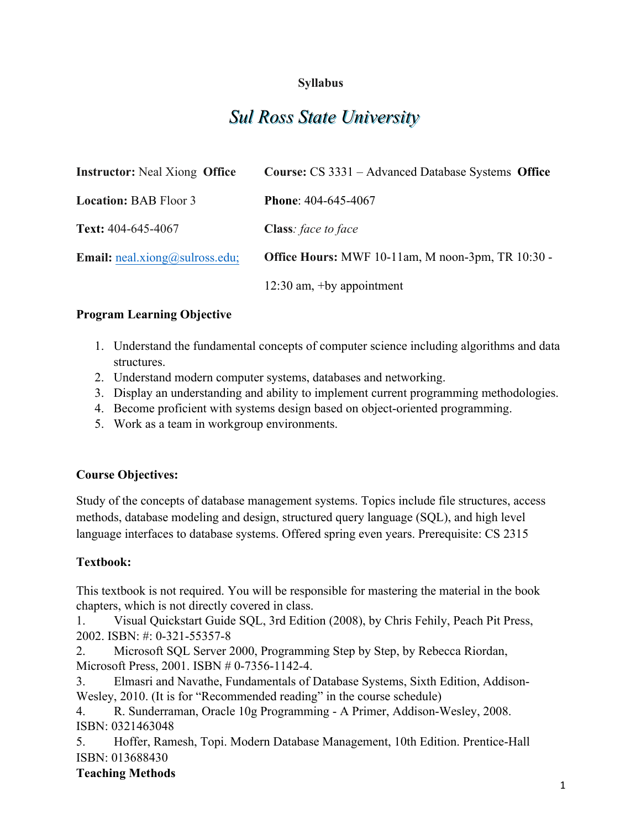# **Syllabus**

# *Sul Ross State University*

| <b>Instructor:</b> Neal Xiong <b>Office</b>     | Course: CS 3331 – Advanced Database Systems Office       |
|-------------------------------------------------|----------------------------------------------------------|
| <b>Location: BAB Floor 3</b>                    | <b>Phone:</b> 404-645-4067                               |
| Text: 404-645-4067                              | <b>Class</b> : face to face                              |
| <b>Email:</b> $\text{real}$ .xiong@sulross.edu; | <b>Office Hours:</b> MWF 10-11am, M noon-3pm, TR 10:30 - |
|                                                 | $12:30$ am, +by appointment                              |

#### **Program Learning Objective**

- 1. Understand the fundamental concepts of computer science including algorithms and data structures.
- 2. Understand modern computer systems, databases and networking.
- 3. Display an understanding and ability to implement current programming methodologies.
- 4. Become proficient with systems design based on object-oriented programming.
- 5. Work as a team in workgroup environments.

# **Course Objectives:**

Study of the concepts of database management systems. Topics include file structures, access methods, database modeling and design, structured query language (SQL), and high level language interfaces to database systems. Offered spring even years. Prerequisite: CS 2315

# **Textbook:**

This textbook is not required. You will be responsible for mastering the material in the book chapters, which is not directly covered in class.

1. Visual Quickstart Guide SQL, 3rd Edition (2008), by Chris Fehily, Peach Pit Press, 2002. ISBN: #: 0-321-55357-8

2. Microsoft SQL Server 2000, Programming Step by Step, by Rebecca Riordan, Microsoft Press, 2001. ISBN # 0-7356-1142-4.

3. Elmasri and Navathe, Fundamentals of Database Systems, Sixth Edition, Addison-Wesley, 2010. (It is for "Recommended reading" in the course schedule)

4. R. Sunderraman, Oracle 10g Programming - A Primer, Addison-Wesley, 2008. ISBN: 0321463048

5. Hoffer, Ramesh, Topi. Modern Database Management, 10th Edition. Prentice-Hall ISBN: 013688430

# **Teaching Methods**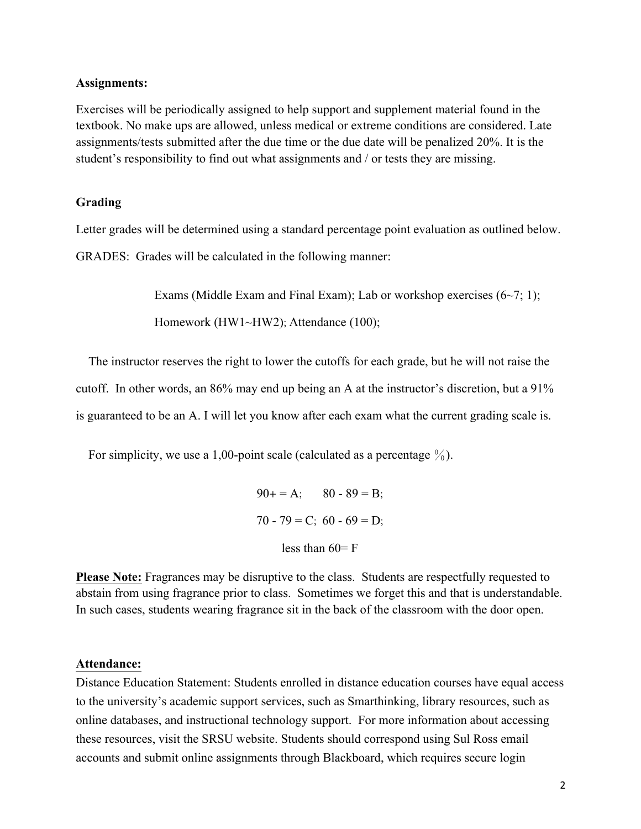#### **Assignments:**

Exercises will be periodically assigned to help support and supplement material found in the textbook. No make ups are allowed, unless medical or extreme conditions are considered. Late assignments/tests submitted after the due time or the due date will be penalized 20%. It is the student's responsibility to find out what assignments and / or tests they are missing.

#### **Grading**

Letter grades will be determined using a standard percentage point evaluation as outlined below.

GRADES: Grades will be calculated in the following manner:

Exams (Middle Exam and Final Exam); Lab or workshop exercises  $(6\neg 7; 1)$ ;

Homework (HW1~HW2); Attendance (100);

 The instructor reserves the right to lower the cutoffs for each grade, but he will not raise the cutoff. In other words, an 86% may end up being an A at the instructor's discretion, but a 91% is guaranteed to be an A. I will let you know after each exam what the current grading scale is.

For simplicity, we use a 1,00-point scale (calculated as a percentage  $\%$ ).

```
90+ = A; 80 - 89 = B;
70 - 79 = C; 60 - 69 = D;
    less than 60 = F
```
**Please Note:** Fragrances may be disruptive to the class. Students are respectfully requested to abstain from using fragrance prior to class. Sometimes we forget this and that is understandable. In such cases, students wearing fragrance sit in the back of the classroom with the door open.

#### **Attendance:**

Distance Education Statement: Students enrolled in distance education courses have equal access to the university's academic support services, such as Smarthinking, library resources, such as online databases, and instructional technology support. For more information about accessing these resources, visit the SRSU website. Students should correspond using Sul Ross email accounts and submit online assignments through Blackboard, which requires secure login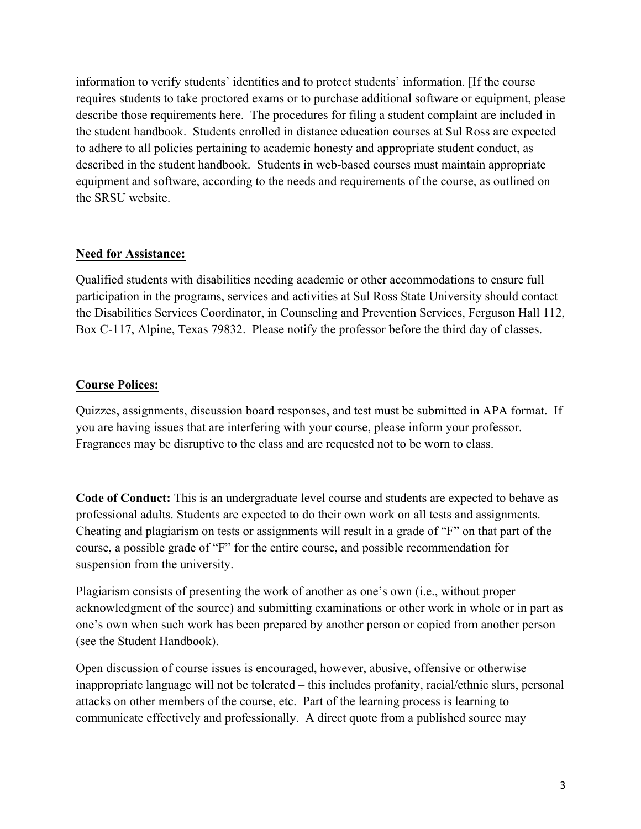information to verify students' identities and to protect students' information. [If the course requires students to take proctored exams or to purchase additional software or equipment, please describe those requirements here. The procedures for filing a student complaint are included in the student handbook. Students enrolled in distance education courses at Sul Ross are expected to adhere to all policies pertaining to academic honesty and appropriate student conduct, as described in the student handbook. Students in web-based courses must maintain appropriate equipment and software, according to the needs and requirements of the course, as outlined on the SRSU website.

## **Need for Assistance:**

Qualified students with disabilities needing academic or other accommodations to ensure full participation in the programs, services and activities at Sul Ross State University should contact the Disabilities Services Coordinator, in Counseling and Prevention Services, Ferguson Hall 112, Box C-117, Alpine, Texas 79832. Please notify the professor before the third day of classes.

## **Course Polices:**

Quizzes, assignments, discussion board responses, and test must be submitted in APA format. If you are having issues that are interfering with your course, please inform your professor. Fragrances may be disruptive to the class and are requested not to be worn to class.

**Code of Conduct:** This is an undergraduate level course and students are expected to behave as professional adults. Students are expected to do their own work on all tests and assignments. Cheating and plagiarism on tests or assignments will result in a grade of "F" on that part of the course, a possible grade of "F" for the entire course, and possible recommendation for suspension from the university.

Plagiarism consists of presenting the work of another as one's own (i.e., without proper acknowledgment of the source) and submitting examinations or other work in whole or in part as one's own when such work has been prepared by another person or copied from another person (see the Student Handbook).

Open discussion of course issues is encouraged, however, abusive, offensive or otherwise inappropriate language will not be tolerated – this includes profanity, racial/ethnic slurs, personal attacks on other members of the course, etc. Part of the learning process is learning to communicate effectively and professionally. A direct quote from a published source may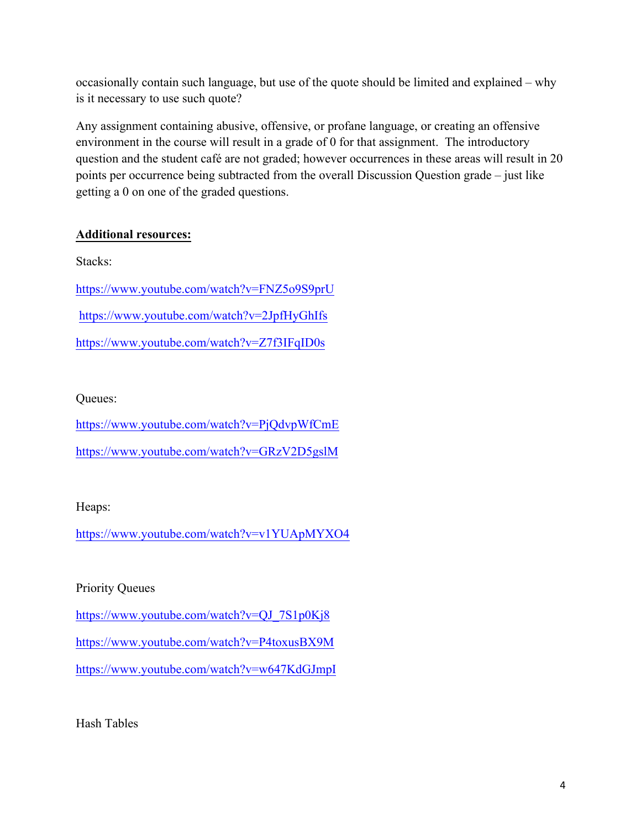occasionally contain such language, but use of the quote should be limited and explained – why is it necessary to use such quote?

Any assignment containing abusive, offensive, or profane language, or creating an offensive environment in the course will result in a grade of 0 for that assignment. The introductory question and the student café are not graded; however occurrences in these areas will result in 20 points per occurrence being subtracted from the overall Discussion Question grade – just like getting a 0 on one of the graded questions.

# **Additional resources:**

Stacks: https://www.youtube.com/watch?v=FNZ5o9S9prU https://www.youtube.com/watch?v=2JpfHyGhIfs https://www.youtube.com/watch?v=Z7f3IFqID0s

# Queues:

https://www.youtube.com/watch?v=PjQdvpWfCmE https://www.youtube.com/watch?v=GRzV2D5gslM

# Heaps:

https://www.youtube.com/watch?v=v1YUApMYXO4

# Priority Queues

https://www.youtube.com/watch?v=QJ\_7S1p0Kj8

https://www.youtube.com/watch?v=P4toxusBX9M

https://www.youtube.com/watch?v=w647KdGJmpI

Hash Tables